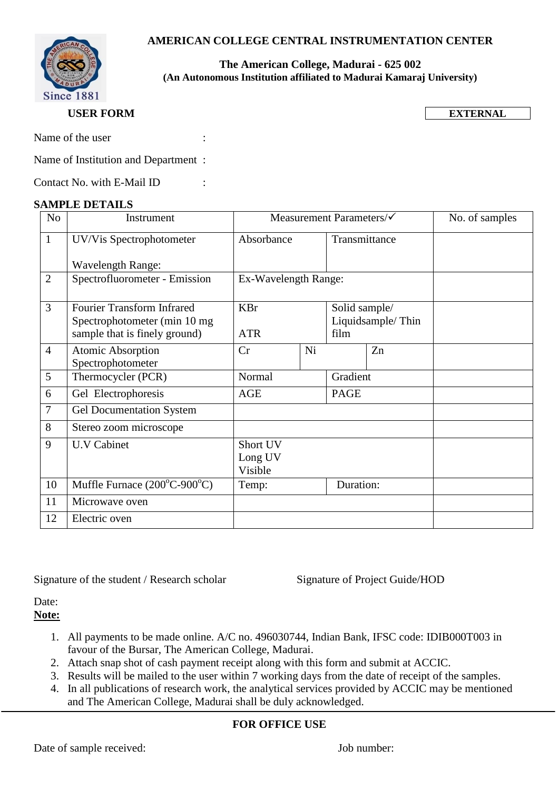# **AMERICAN COLLEGE CENTRAL INSTRUMENTATION CENTER**



### **The American College, Madurai - 625 002 (An Autonomous Institution affiliated to Madurai Kamaraj University)**

## **USER FORM**

**EXTERNAL**

Name of the user :

Name of Institution and Department :

Contact No. with E-Mail ID :

#### **SAMPLE DETAILS**

| N <sub>o</sub> | Instrument                                     | Measurement Parameters/ $\checkmark$ |    |                   |    | No. of samples |
|----------------|------------------------------------------------|--------------------------------------|----|-------------------|----|----------------|
| $\mathbf{1}$   | UV/Vis Spectrophotometer                       | Absorbance                           |    | Transmittance     |    |                |
|                | <b>Wavelength Range:</b>                       |                                      |    |                   |    |                |
| $\overline{2}$ | Spectrofluorometer - Emission                  | Ex-Wavelength Range:                 |    |                   |    |                |
| 3              | <b>Fourier Transform Infrared</b>              | <b>KBr</b>                           |    | Solid sample/     |    |                |
|                | Spectrophotometer (min 10 mg)                  |                                      |    | Liquidsample/Thin |    |                |
|                | sample that is finely ground)                  | <b>ATR</b>                           |    | film              |    |                |
| $\overline{4}$ | <b>Atomic Absorption</b><br>Spectrophotometer  | Cr                                   | Ni |                   | Zn |                |
| 5              | Thermocycler (PCR)                             | Normal                               |    | Gradient          |    |                |
| 6              | Gel Electrophoresis                            | <b>AGE</b>                           |    | <b>PAGE</b>       |    |                |
| 7              | <b>Gel Documentation System</b>                |                                      |    |                   |    |                |
| 8              | Stereo zoom microscope                         |                                      |    |                   |    |                |
| 9              | <b>U.V Cabinet</b>                             | Short UV                             |    |                   |    |                |
|                |                                                | Long UV<br>Visible                   |    |                   |    |                |
| 10             | Muffle Furnace $(200^{\circ}C - 900^{\circ}C)$ | Temp:                                |    | Duration:         |    |                |
| 11             | Microwave oven                                 |                                      |    |                   |    |                |
| 12             | Electric oven                                  |                                      |    |                   |    |                |

Signature of the student / Research scholar Signature of Project Guide/HOD

Date:

**Note:** 

- 1. All payments to be made online. A/C no. 496030744, Indian Bank, IFSC code: IDIB000T003 in favour of the Bursar, The American College, Madurai.
- 2. Attach snap shot of cash payment receipt along with this form and submit at ACCIC.
- 3. Results will be mailed to the user within 7 working days from the date of receipt of the samples.
- 4. In all publications of research work, the analytical services provided by ACCIC may be mentioned and The American College, Madurai shall be duly acknowledged.

# **FOR OFFICE USE**